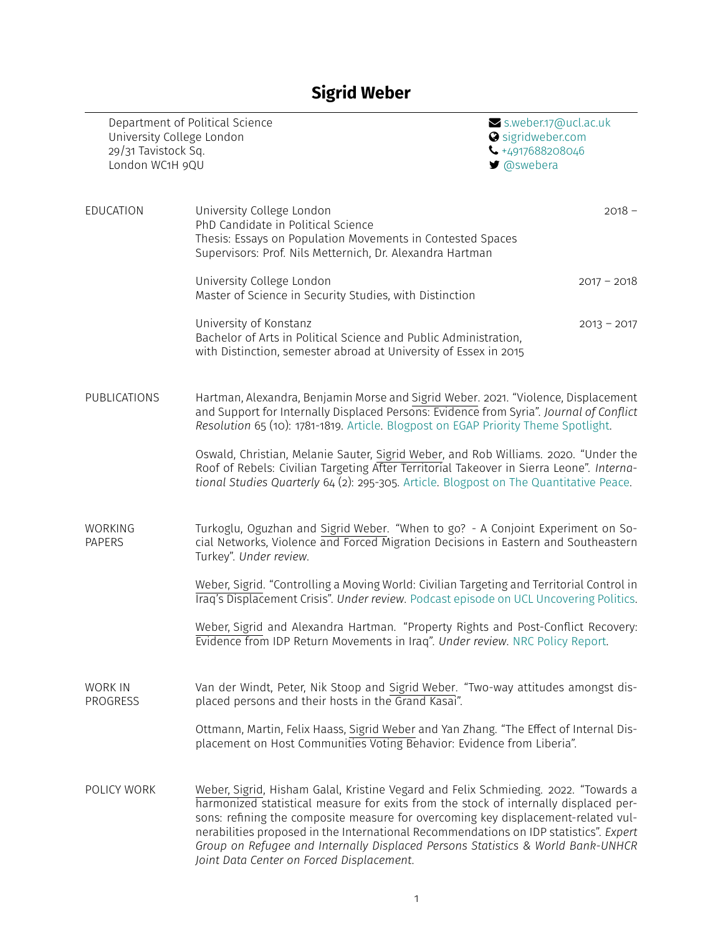## **Sigrid Weber**

| University College London<br>29/31 Tavistock Sq.<br>London WC1H 9QU | Department of Political Science                                                                                                                                                                                                                                                                                                                                                                                                                                                           | S.weber.17@ucl.ac.uk<br>Sigridweber.com<br>$\bigcup$ +4917688208046<br>■ @swebera |
|---------------------------------------------------------------------|-------------------------------------------------------------------------------------------------------------------------------------------------------------------------------------------------------------------------------------------------------------------------------------------------------------------------------------------------------------------------------------------------------------------------------------------------------------------------------------------|-----------------------------------------------------------------------------------|
| EDUCATION                                                           | University College London<br>PhD Candidate in Political Science<br>Thesis: Essays on Population Movements in Contested Spaces<br>Supervisors: Prof. Nils Metternich, Dr. Alexandra Hartman                                                                                                                                                                                                                                                                                                | $2018 -$                                                                          |
|                                                                     | University College London<br>Master of Science in Security Studies, with Distinction                                                                                                                                                                                                                                                                                                                                                                                                      | $2017 - 2018$                                                                     |
|                                                                     | University of Konstanz<br>Bachelor of Arts in Political Science and Public Administration,<br>with Distinction, semester abroad at University of Essex in 2015                                                                                                                                                                                                                                                                                                                            | $2013 - 2017$                                                                     |
| PUBLICATIONS                                                        | Hartman, Alexandra, Benjamin Morse and Sigrid Weber. 2021. "Violence, Displacement<br>and Support for Internally Displaced Persons: Evidence from Syria". Journal of Conflict<br>Resolution 65 (10): 1781-1819. Article. Blogpost on EGAP Priority Theme Spotlight.                                                                                                                                                                                                                       |                                                                                   |
|                                                                     | Oswald, Christian, Melanie Sauter, Sigrid Weber, and Rob Williams. 2020. "Under the<br>Roof of Rebels: Civilian Targeting After Territorial Takeover in Sierra Leone". Interna-<br>tional Studies Quarterly 64 (2): 295-305. Article. Blogpost on The Quantitative Peace.                                                                                                                                                                                                                 |                                                                                   |
| <b>WORKING</b><br><b>PAPERS</b>                                     | Turkoglu, Oguzhan and Sigrid Weber. "When to go? - A Conjoint Experiment on So-<br>cial Networks, Violence and Forced Migration Decisions in Eastern and Southeastern<br>Turkey". Under review.                                                                                                                                                                                                                                                                                           |                                                                                   |
|                                                                     | Weber, Sigrid. "Controlling a Moving World: Civilian Targeting and Territorial Control in<br>Traq's Displacement Crisis". Under review. Podcast episode on UCL Uncovering Politics.                                                                                                                                                                                                                                                                                                       |                                                                                   |
|                                                                     | Weber, Sigrid and Alexandra Hartman. "Property Rights and Post-Conflict Recovery:<br>Evidence from IDP Return Movements in Iraq". Under review. NRC Policy Report.                                                                                                                                                                                                                                                                                                                        |                                                                                   |
| <b>WORK IN</b><br>PROGRESS                                          | Van der Windt, Peter, Nik Stoop and Sigrid Weber. "Two-way attitudes amongst dis-<br>placed persons and their hosts in the Grand Kasai".                                                                                                                                                                                                                                                                                                                                                  |                                                                                   |
|                                                                     | Ottmann, Martin, Felix Haass, Sigrid Weber and Yan Zhang. "The Effect of Internal Dis-<br>placement on Host Communities Voting Behavior: Evidence from Liberia".                                                                                                                                                                                                                                                                                                                          |                                                                                   |
| POLICY WORK                                                         | Weber, Sigrid, Hisham Galal, Kristine Vegard and Felix Schmieding. 2022. "Towards a<br>harmonized statistical measure for exits from the stock of internally displaced per-<br>sons: refining the composite measure for overcoming key displacement-related vul-<br>nerabilities proposed in the International Recommendations on IDP statistics". Expert<br>Group on Refugee and Internally Displaced Persons Statistics & World Bank-UNHCR<br>Joint Data Center on Forced Displacement. |                                                                                   |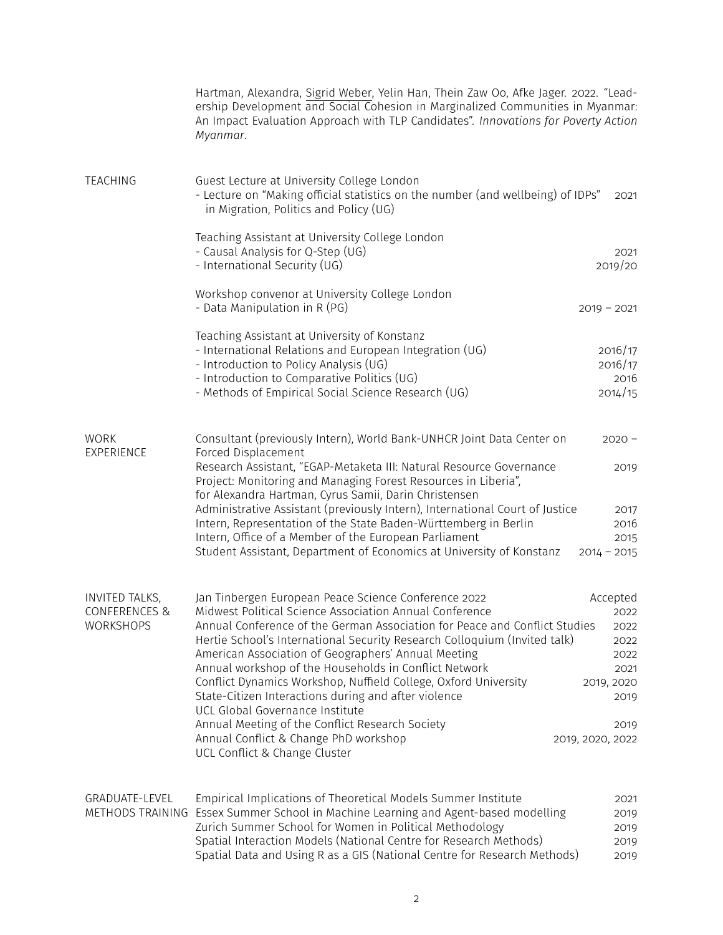|                           | Hartman, Alexandra, Sigrid Weber, Yelin Han, Thein Zaw Oo, Afke Jager. 2022. "Lead-<br>ership Development and Social Cohesion in Marginalized Communities in Myanmar:<br>An Impact Evaluation Approach with TLP Candidates". Innovations for Poverty Action<br>Myanmar. |                          |
|---------------------------|-------------------------------------------------------------------------------------------------------------------------------------------------------------------------------------------------------------------------------------------------------------------------|--------------------------|
| TEACHING                  | Guest Lecture at University College London<br>- Lecture on "Making official statistics on the number (and wellbeing) of IDPs"<br>in Migration, Politics and Policy (UG)                                                                                                 | 2021                     |
|                           | Teaching Assistant at University College London                                                                                                                                                                                                                         |                          |
|                           | - Causal Analysis for Q-Step (UG)<br>- International Security (UG)                                                                                                                                                                                                      | 2021<br>2019/20          |
|                           | Workshop convenor at University College London<br>- Data Manipulation in R (PG)                                                                                                                                                                                         | $2019 - 2021$            |
|                           | Teaching Assistant at University of Konstanz                                                                                                                                                                                                                            |                          |
|                           | - International Relations and European Integration (UG)<br>- Introduction to Policy Analysis (UG)                                                                                                                                                                       | 2016/17<br>2016/17       |
|                           | - Introduction to Comparative Politics (UG)                                                                                                                                                                                                                             | 2016                     |
|                           | - Methods of Empirical Social Science Research (UG)                                                                                                                                                                                                                     | 2014/15                  |
| <b>WORK</b><br>EXPERIENCE | Consultant (previously Intern), World Bank-UNHCR Joint Data Center on<br>Forced Displacement                                                                                                                                                                            | $2020 -$                 |
|                           | Research Assistant, "EGAP-Metaketa III: Natural Resource Governance<br>Project: Monitoring and Managing Forest Resources in Liberia",<br>for Alexandra Hartman, Cyrus Samii, Darin Christensen                                                                          | 2019                     |
|                           | Administrative Assistant (previously Intern), International Court of Justice                                                                                                                                                                                            | 2017                     |
|                           | Intern, Representation of the State Baden-Württemberg in Berlin                                                                                                                                                                                                         | 2016                     |
|                           | Intern, Office of a Member of the European Parliament<br>Student Assistant, Department of Economics at University of Konstanz                                                                                                                                           | 2015<br>$2014 - 2015$    |
| INVITED TALKS,            | Jan Tinbergen European Peace Science Conference 2022                                                                                                                                                                                                                    | Accepted                 |
| CONFERENCES &             | Midwest Political Science Association Annual Conference                                                                                                                                                                                                                 | 2022                     |
| <b>WORKSHOPS</b>          | Annual Conference of the German Association for Peace and Conflict Studies                                                                                                                                                                                              | 2022                     |
|                           | Hertie School's International Security Research Colloquium (Invited talk)<br>American Association of Geographers' Annual Meeting                                                                                                                                        | 2022<br>2022             |
|                           | Annual workshop of the Households in Conflict Network                                                                                                                                                                                                                   | 2021                     |
|                           | Conflict Dynamics Workshop, Nuffield College, Oxford University                                                                                                                                                                                                         | 2019, 2020               |
|                           | State-Citizen Interactions during and after violence                                                                                                                                                                                                                    | 2019                     |
|                           | UCL Global Governance Institute<br>Annual Meeting of the Conflict Research Society                                                                                                                                                                                      |                          |
|                           | Annual Conflict & Change PhD workshop<br>UCL Conflict & Change Cluster                                                                                                                                                                                                  | 2019<br>2019, 2020, 2022 |
| GRADUATE-LEVEL            | Empirical Implications of Theoretical Models Summer Institute                                                                                                                                                                                                           | 2021                     |
| METHODS TRAINING          | Essex Summer School in Machine Learning and Agent-based modelling                                                                                                                                                                                                       | 2019                     |
|                           | Zurich Summer School for Women in Political Methodology<br>Spatial Interaction Models (National Centre for Research Methods)                                                                                                                                            | 2019<br>2019             |
|                           | Spatial Data and Using R as a GIS (National Centre for Research Methods)                                                                                                                                                                                                | 2019                     |